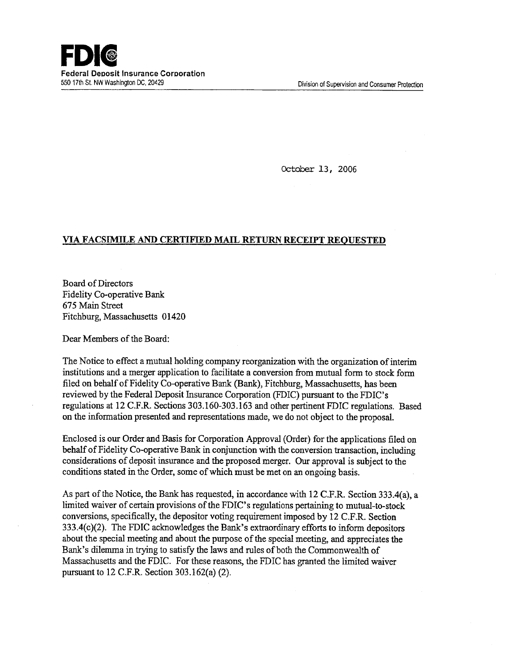October 13, 2006

## **VIA FACSIMILE AND CERTIFIED MAIL RETURN RECEIPT REQUESTED**

Board of Directors Fidelity Co-operative Bank *675* Main Street Fitchburg, Massachusetts 01420

Dear Members of the Board:

The Notice to effect a mutual holding company reorganization with the organization of interim institutions and a merger application to facilitate a conversion from mutual form to stock form filed on behalf of Fidelity Co-operative Bank (Bank), Fitchburg, Massachusetts, has been reviewed by the Federal Deposit Insurance Corporation (FDIC) pursuant to the FDIC's regulations at 12 C.F.R. Sections 303.160-303.163 and other pertinent FDIC regulations. Based on the information presented and representations made, we do not object to the proposal.

Enclosed is our Order and Basis for Corporation Approval (Order) for the applications filed on behalf of Fidelity Co-operative Bank in conjunction with the conversion transaction, including considerations of deposit insurance and the proposed merger. Our approval is subject to the conditions stated in the Order, some of which must be met on an ongoing basis.

As part of the Notice, the Bank has requested, in accordance with 12 C.F.R. Section 333.4(a), a limited waiver of certain provisions of the FDIC's regulations pertaining to mutual-to-stock conversions, specifically, the depositor voting requirement imposed by 12 C.F.R. Section 333.4(c)(2). The FDIC acknowledges the Bank's extraordinary efforts to inform depositors about the special meeting and about the purpose of the special meeting, and appreciates the Bank's dilemma in trying to satisfy the laws and rules of both the Commonwealth of Massachusetts and the FDIC. For these reasons, the FDIC has granted the limited waiver pursuant to 12 C.F.R. Section 303.162(a) (2).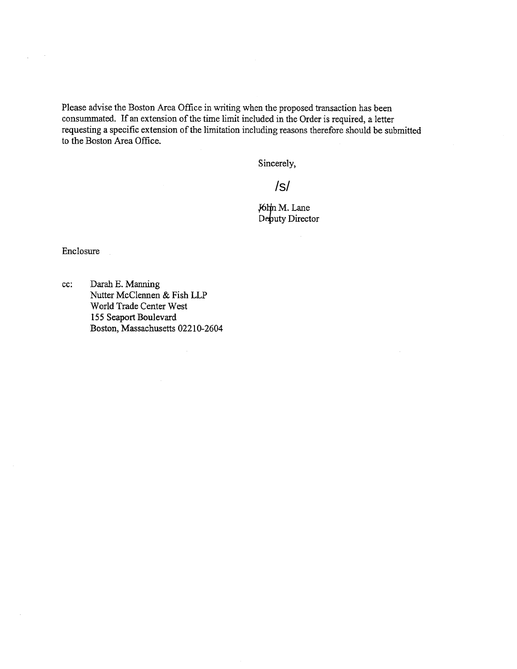Please advise the Boston Area Office in writing when the proposed transaction has been consummated. If an extension of the time limit included in the Order is required, a letter requesting a specific extension of the limitation including reasons therefore should be submitted to the Boston Area Office.

Sincerely,

/s/

 $J6$ hn M. Lane Deputy Director

Enclosure

 $\ddot{\phantom{a}}$ 

cc: Darah B. Manning Nutter McClennen & Fish LLP World Trade Center West 155 Seaport Boulevard Boston, Massachusetts 02210-2604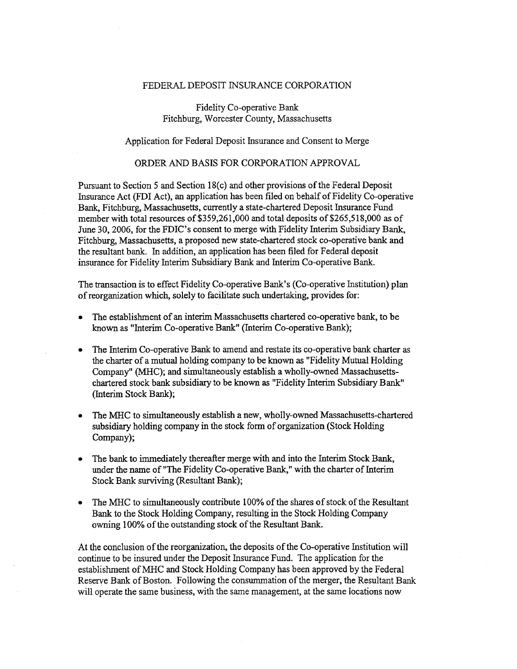## FEDERAL DEPOSIT INSURANCE CORPORATION

Fidelity Co-operative Bank Fitchburg, Worcester County, Massachusetts

Application for Federal Deposit Insurance and Consent to Merge

## ORDER AND BASIS FOR CORPORATION APPROVAL

Pursuant to Section *5* and Section 18(c) and other provisions of the Federal Deposit Insurance Act (FDI Act), an application has been filed on behalf of Fidelity Co-operative Bank, Fitchburg, Massachusetts, currently a state-chartered Deposit Insurance Fund member with total resources of \$359,261,000 and total deposits of \$265,518,000 as of June 30, 2006, for the FDIC's consent to merge with Fidelity Interim Subsidiary Bank, Fitchburg, Massachusetts, a proposed new state-chartered stock co-operative bank and the resultant bank. In addition, an application has been filed for Federal deposit insurance for Fidelity Interim Subsidiary Bank and Interim Co-operative Bank.

The transaction is to effect Fidelity Co-operative Bank's (Co-operative Institution) plan of reorganization which, solely to facilitate such undertaking, provides for:

- The establishment of an interim Massachusetts chartered co-operative bank, to be known as "Interim Co-operative Bank" (Interim Co-operative Bank);
- The Interim Co-operative Bank to amend and restate its co-operative bank charter as the charter of a mutual holding company to be known as "Fidelity Mutual Holding Company" (MHC); and simultaneously establish a wholly-owned Massachusettschartered stock bank subsidiary to be known as "Fidelity Interim Subsidiary Bank" (Interim Stock Bank);
- The MHC to simultaneously establish a new, wholly-owned Massachusetts-chartered subsidiary holding company in the stock form of organization (Stock Holding Company);
- The bank to immediately thereafter merge with and into the Interim Stock Bank, under the name of "The Fidelity Co-operative Bank," with the charter of Interim Stock Bank surviving (Resultant Bank);
- The MHC to simultaneously contribute 100% of the shares of stock of the Resultant Bank to the Stock Holding Company, resulting in the Stock Holding Company owning 100% of the outstanding stock of the Resultant Bank.

At the conclusion of the reorganization, the deposits of the Co-operative Institution will continue to be insured under the Deposit Insurance Fund. The application for the establishment of MHC and Stock Holding Company has been approved by the Federal Reserve Bank of Boston. Following the consummation of the merger, the Resultant Bank will operate the same business, with the same management, at the same locations now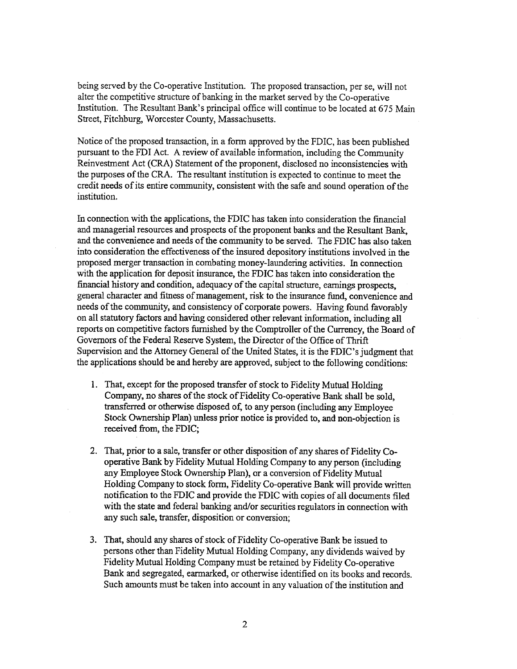being served by the Co-operative Institution. The proposed transaction, per se, will not alter the competitive structure of banking in the market served by the Co-operative Institution. The Resultant Bank's principal office will continue to be located at *675* Main Street, Fitchburg, Worcester County, Massachusetts.

Notice of the proposed transaction, in a form approved by the FDIC, has been published pursuant to the FDI Act. A review of available information, including the Community Reinvestment Act (CRA) Statement of the proponent, disclosed no inconsistencies with the purposes of the CRA. The resultant institution is expected to continue to meet the credit needs of its entire community, consistent with the safe and sound operation of the institution.

In connection with the applications, the FDIC has taken into consideration the financial and managerial resources and prospects of the proponent banks and the Resultant Bank, and the convenience and needs of the community to be served. The FDIC has also taken into consideration the effectiveness of the insured depository institutions involved in the proposed merger transaction in combating money-laundering activities. In connection with the application for deposit insurance, the FDIC has taken into consideration the financial history and condition, adequacy of the capital structure, earnings prospects, general character and fitness of management, risk to the insurance fund, convenience and needs of the community, and consistency of corporate powers. Having found favorably on all statutory factors and having considered other relevant information, including all reports on competitive factors furnished by the Comptroller of the Currency, the Board of Governors of the Federal Reserve System, the Director of the Office of Thrift Supervision and the Attorney General of the United States, it is the FDIC's judgment that the applications should be and hereby are approved, subject to the following conditions:

- 1. That, except for the proposed transfer of stock to Fidelity Mutual Holding Company, no shares of the stock of Fidelity Co-operative Bank shall be sold, transferred or otherwise disposed of; to any person (including any Employee Stock Ownership Plan) unless prior notice is provided to, and non-objection is received from, the FDIC;
- 2. That, prior to a sale, transfer or other disposition of any shares of Fidelity Cooperative Bank by Fidelity Mutual Holding Company to any person (including any Employee Stock Ownership Plan), or a conversion of Fidelity Mutual Holding Company to stock form, Fidelity Co-operative Bank will provide written notification to the FDIC and provide the FDIC with copies of all documents filed with the state and federal banking and/or securities regulators in connection with any such sale, transfer, disposition or conversion;
- 3. That, should any shares of stock of Fidelity Co-operative Bank be issued to persons other than Fidelity Mutual Holding Company, any dividends waived by Fidelity Mutual Holding Company must be retained by Fidelity Co-operative Bank and segregated, earmarked, or otherwise identified on its books and records. Such amounts must be taken into account in any valuation of the institution and